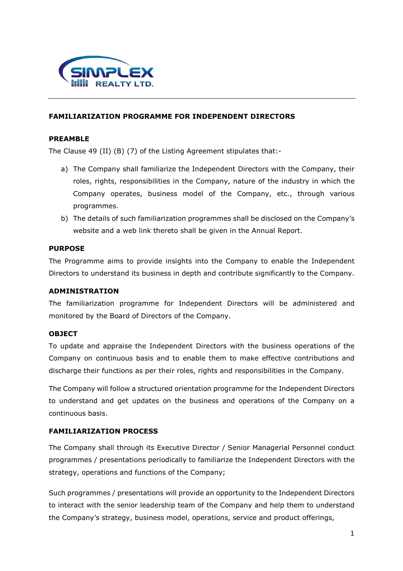

### **FAMILIARIZATION PROGRAMME FOR INDEPENDENT DIRECTORS**

#### **PREAMBLE**

The Clause 49 (II) (B) (7) of the Listing Agreement stipulates that:-

- a) The Company shall familiarize the Independent Directors with the Company, their roles, rights, responsibilities in the Company, nature of the industry in which the Company operates, business model of the Company, etc., through various programmes.
- b) The details of such familiarization programmes shall be disclosed on the Company's website and a web link thereto shall be given in the Annual Report.

### **PURPOSE**

The Programme aims to provide insights into the Company to enable the Independent Directors to understand its business in depth and contribute significantly to the Company.

#### **ADMINISTRATION**

The familiarization programme for Independent Directors will be administered and monitored by the Board of Directors of the Company.

#### **OBJECT**

To update and appraise the Independent Directors with the business operations of the Company on continuous basis and to enable them to make effective contributions and discharge their functions as per their roles, rights and responsibilities in the Company.

The Company will follow a structured orientation programme for the Independent Directors to understand and get updates on the business and operations of the Company on a continuous basis.

#### **FAMILIARIZATION PROCESS**

The Company shall through its Executive Director / Senior Managerial Personnel conduct programmes / presentations periodically to familiarize the Independent Directors with the strategy, operations and functions of the Company;

Such programmes / presentations will provide an opportunity to the Independent Directors to interact with the senior leadership team of the Company and help them to understand the Company's strategy, business model, operations, service and product offerings,